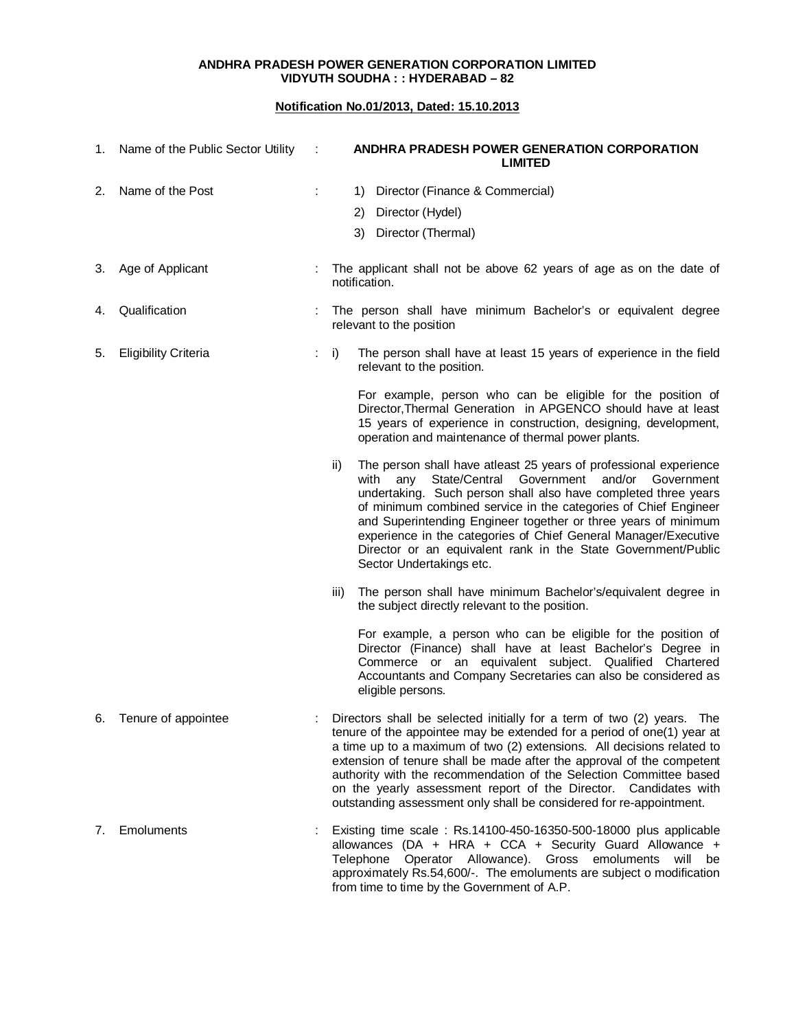## **ANDHRA PRADESH POWER GENERATION CORPORATION LIMITED VIDYUTH SOUDHA : : HYDERABAD – 82**

## **Notification No.01/2013, Dated: 15.10.2013**

| 1. | Name of the Public Sector Utility | ÷ | ANDHRA PRADESH POWER GENERATION CORPORATION<br><b>LIMITED</b>                                                                                                                                                                                                                                                                                                                                                                                                                                                           |
|----|-----------------------------------|---|-------------------------------------------------------------------------------------------------------------------------------------------------------------------------------------------------------------------------------------------------------------------------------------------------------------------------------------------------------------------------------------------------------------------------------------------------------------------------------------------------------------------------|
| 2. | Name of the Post                  |   | Director (Finance & Commercial)<br>1)                                                                                                                                                                                                                                                                                                                                                                                                                                                                                   |
|    |                                   |   | Director (Hydel)<br>2)                                                                                                                                                                                                                                                                                                                                                                                                                                                                                                  |
|    |                                   |   | 3) Director (Thermal)                                                                                                                                                                                                                                                                                                                                                                                                                                                                                                   |
| 3. | Age of Applicant                  |   | The applicant shall not be above 62 years of age as on the date of<br>notification.                                                                                                                                                                                                                                                                                                                                                                                                                                     |
| 4. | Qualification                     |   | The person shall have minimum Bachelor's or equivalent degree<br>relevant to the position                                                                                                                                                                                                                                                                                                                                                                                                                               |
| 5. | <b>Eligibility Criteria</b>       |   | i)<br>The person shall have at least 15 years of experience in the field<br>relevant to the position.                                                                                                                                                                                                                                                                                                                                                                                                                   |
|    |                                   |   | For example, person who can be eligible for the position of<br>Director, Thermal Generation in APGENCO should have at least<br>15 years of experience in construction, designing, development,<br>operation and maintenance of thermal power plants.                                                                                                                                                                                                                                                                    |
|    |                                   |   | The person shall have atleast 25 years of professional experience<br>ii)<br>State/Central Government<br>with<br>and/or Government<br>any<br>undertaking. Such person shall also have completed three years<br>of minimum combined service in the categories of Chief Engineer<br>and Superintending Engineer together or three years of minimum<br>experience in the categories of Chief General Manager/Executive<br>Director or an equivalent rank in the State Government/Public<br>Sector Undertakings etc.         |
|    |                                   |   | The person shall have minimum Bachelor's/equivalent degree in<br>iii)<br>the subject directly relevant to the position.                                                                                                                                                                                                                                                                                                                                                                                                 |
|    |                                   |   | For example, a person who can be eligible for the position of<br>Director (Finance) shall have at least Bachelor's Degree in<br>Commerce or an equivalent subject. Qualified Chartered<br>Accountants and Company Secretaries can also be considered as<br>eligible persons.                                                                                                                                                                                                                                            |
| 6. | Tenure of appointee               |   | Directors shall be selected initially for a term of two (2) years.<br>The<br>tenure of the appointee may be extended for a period of one(1) year at<br>a time up to a maximum of two (2) extensions. All decisions related to<br>extension of tenure shall be made after the approval of the competent<br>authority with the recommendation of the Selection Committee based<br>on the yearly assessment report of the Director. Candidates with<br>outstanding assessment only shall be considered for re-appointment. |
| 7. | <b>Emoluments</b>                 |   | Existing time scale: Rs.14100-450-16350-500-18000 plus applicable<br>allowances (DA + HRA + CCA + Security Guard Allowance +<br>Operator Allowance). Gross emoluments will be<br>Telephone<br>approximately Rs.54,600/-. The emoluments are subject o modification<br>from time to time by the Government of A.P.                                                                                                                                                                                                       |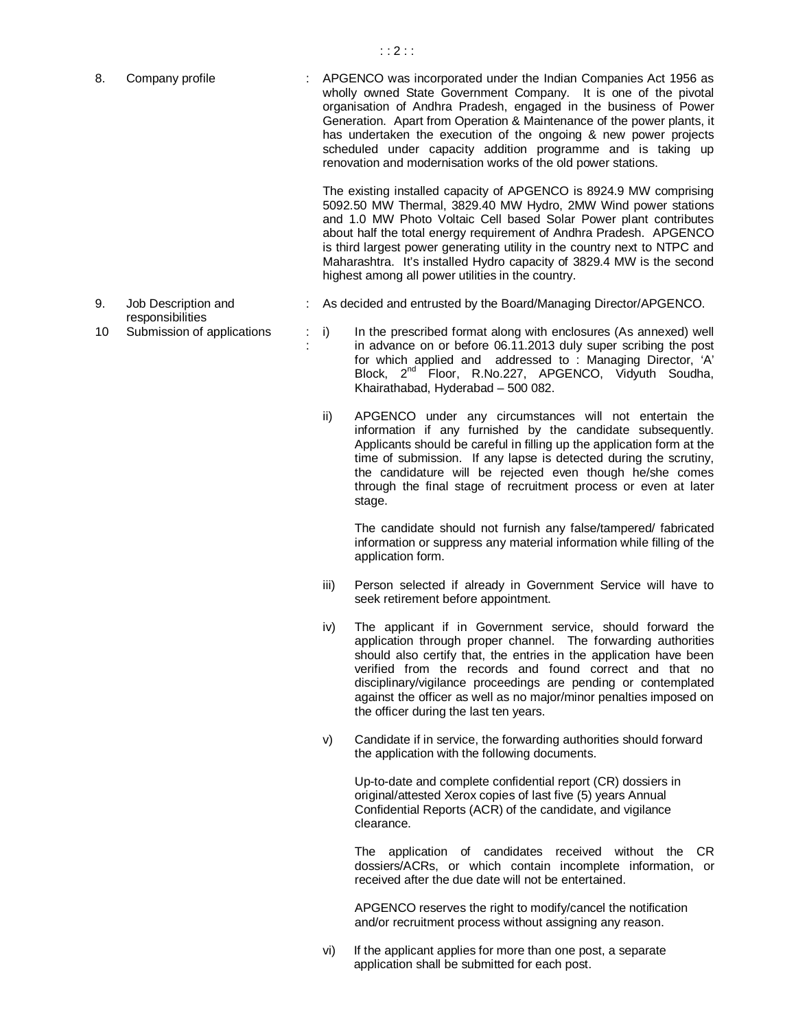APGENCO was incorporated under the Indian Companies Act 1956 as wholly owned State Government Company. It is one of the pivotal organisation of Andhra Pradesh, engaged in the business of Power Generation. Apart from Operation & Maintenance of the power plants, it has undertaken the execution of the ongoing & new power projects scheduled under capacity addition programme and is taking up renovation and modernisation works of the old power stations. 8. Company profile

> The existing installed capacity of APGENCO is 8924.9 MW comprising 5092.50 MW Thermal, 3829.40 MW Hydro, 2MW Wind power stations and 1.0 MW Photo Voltaic Cell based Solar Power plant contributes about half the total energy requirement of Andhra Pradesh. APGENCO is third largest power generating utility in the country next to NTPC and Maharashtra. It's installed Hydro capacity of 3829.4 MW is the second highest among all power utilities in the country.

- : As decided and entrusted by the Board/Managing Director/APGENCO.
- 9. Job Description and responsibilities

:

- 10 Submission of applications : i) In the prescribed format along with enclosures (As annexed) well in advance on or before 06.11.2013 duly super scribing the post for which applied and addressed to : Managing Director, 'A' Block, 2<sup>nd Floor, R.No.227, APGENCO, Vidyuth Soudha,</sup> Khairathabad, Hyderabad – 500 082. :  $i)$ 
	- ii) APGENCO under any circumstances will not entertain the information if any furnished by the candidate subsequently. Applicants should be careful in filling up the application form at the time of submission. If any lapse is detected during the scrutiny, the candidature will be rejected even though he/she comes through the final stage of recruitment process or even at later stage.

The candidate should not furnish any false/tampered/ fabricated information or suppress any material information while filling of the application form.

- iii) Person selected if already in Government Service will have to seek retirement before appointment.
- iv) The applicant if in Government service, should forward the application through proper channel. The forwarding authorities should also certify that, the entries in the application have been verified from the records and found correct and that no disciplinary/vigilance proceedings are pending or contemplated against the officer as well as no major/minor penalties imposed on the officer during the last ten years.
- Candidate if in service, the forwarding authorities should forward the application with the following documents. v)

Up-to-date and complete confidential report (CR) dossiers in original/attested Xerox copies of last five (5) years Annual Confidential Reports (ACR) of the candidate, and vigilance clearance.

The application of candidates received without the CR dossiers/ACRs, or which contain incomplete information, or received after the due date will not be entertained.

APGENCO reserves the right to modify/cancel the notification and/or recruitment process without assigning any reason.

vi) If the applicant applies for more than one post, a separate application shall be submitted for each post.